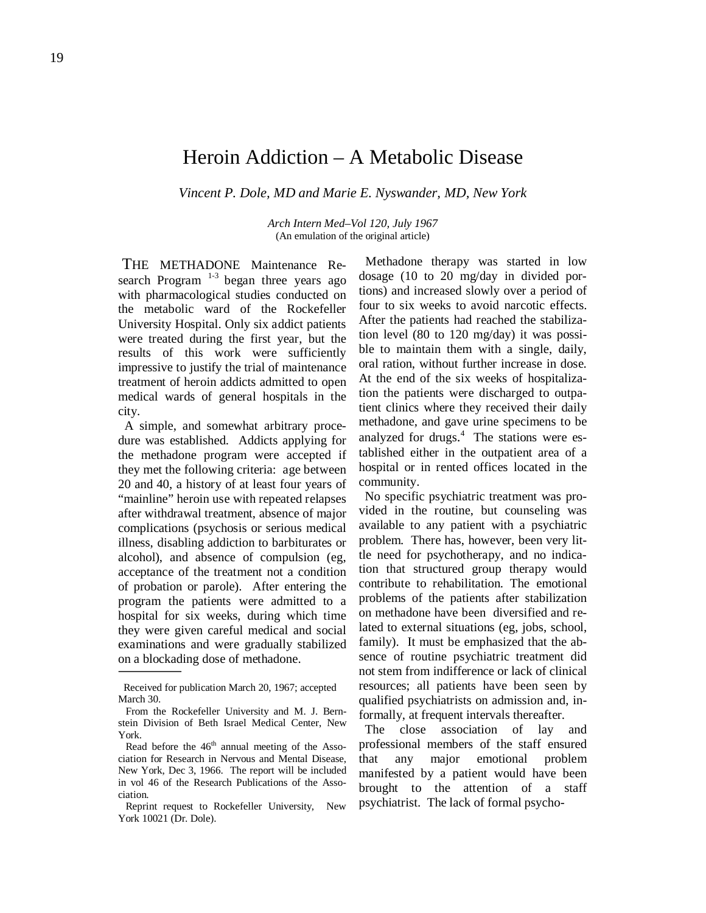# Heroin Addiction – A Metabolic Disease

*Vincent P. Dole, MD and Marie E. Nyswander, MD, New York*

*Arch Intern Med–Vol 120, July 1967* (An emulation of the original article)

 THE METHADONE Maintenance Research Program  $1-3$  began three years ago with pharmacological studies conducted on the metabolic ward of the Rockefeller University Hospital. Only six addict patients were treated during the first year, but the results of this work were sufficiently impressive to justify the trial of maintenance treatment of heroin addicts admitted to open medical wards of general hospitals in the city.

 A simple, and somewhat arbitrary procedure was established. Addicts applying for the methadone program were accepted if they met the following criteria: age between 20 and 40, a history of at least four years of "mainline" heroin use with repeated relapses after withdrawal treatment, absence of major complications (psychosis or serious medical illness, disabling addiction to barbiturates or alcohol), and absence of compulsion (eg, acceptance of the treatment not a condition of probation or parole). After entering the program the patients were admitted to a hospital for six weeks, during which time they were given careful medical and social examinations and were gradually stabilized on a blockading dose of methadone.

 Methadone therapy was started in low dosage (10 to 20 mg/day in divided portions) and increased slowly over a period of four to six weeks to avoid narcotic effects. After the patients had reached the stabilization level (80 to 120 mg/day) it was possible to maintain them with a single, daily, oral ration, without further increase in dose. At the end of the six weeks of hospitalization the patients were discharged to outpatient clinics where they received their daily methadone, and gave urine specimens to be analyzed for drugs. 4 The stations were established either in the outpatient area of a hospital or in rented offices located in the community.

 No specific psychiatric treatment was provided in the routine, but counseling was available to any patient with a psychiatric problem. There has, however, been very little need for psychotherapy, and no indication that structured group therapy would contribute to rehabilitation. The emotional problems of the patients after stabilization on methadone have been diversified and related to external situations (eg, jobs, school, family). It must be emphasized that the absence of routine psychiatric treatment did not stem from indifference or lack of clinical resources; all patients have been seen by qualified psychiatrists on admission and, informally, at frequent intervals thereafter.

 The close association of lay and professional members of the staff ensured that any major emotional problem manifested by a patient would have been brought to the attention of a staff psychiatrist. The lack of formal psycho-

Received for publication March 20, 1967; accepted March 30.

From the Rockefeller University and M. J. Bernstein Division of Beth Israel Medical Center, New York.

Read before the  $46<sup>th</sup>$  annual meeting of the Association for Research in Nervous and Mental Disease, New York, Dec 3, 1966. The report will be included in vol 46 of the Research Publications of the Association.

Reprint request to Rockefeller University, New York 10021 (Dr. Dole).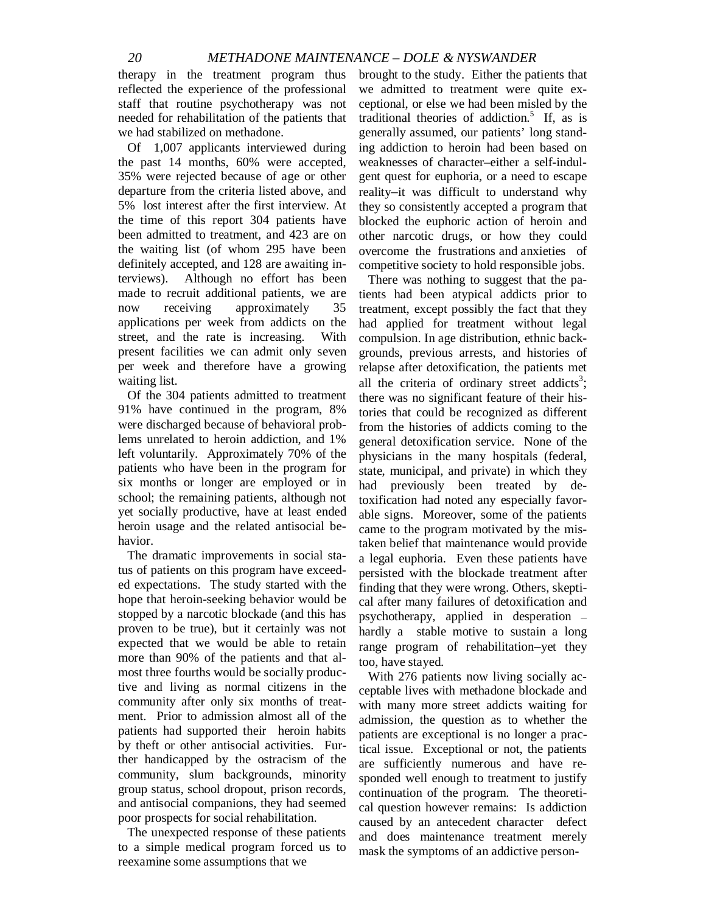therapy in the treatment program thus reflected the experience of the professional staff that routine psychotherapy was not needed for rehabilitation of the patients that we had stabilized on methadone.

 Of 1,007 applicants interviewed during the past 14 months, 60% were accepted, 35% were rejected because of age or other departure from the criteria listed above, and 5% lost interest after the first interview. At the time of this report 304 patients have been admitted to treatment, and 423 are on the waiting list (of whom 295 have been definitely accepted, and 128 are awaiting interviews). Although no effort has been made to recruit additional patients, we are now receiving approximately 35 applications per week from addicts on the street, and the rate is increasing. With present facilities we can admit only seven per week and therefore have a growing waiting list.

 Of the 304 patients admitted to treatment 91% have continued in the program, 8% were discharged because of behavioral problems unrelated to heroin addiction, and 1% left voluntarily. Approximately 70% of the patients who have been in the program for six months or longer are employed or in school; the remaining patients, although not yet socially productive, have at least ended heroin usage and the related antisocial behavior.

 The dramatic improvements in social status of patients on this program have exceeded expectations. The study started with the hope that heroin-seeking behavior would be stopped by a narcotic blockade (and this has proven to be true), but it certainly was not expected that we would be able to retain more than 90% of the patients and that almost three fourths would be socially productive and living as normal citizens in the community after only six months of treatment. Prior to admission almost all of the patients had supported their heroin habits by theft or other antisocial activities. Further handicapped by the ostracism of the community, slum backgrounds, minority group status, school dropout, prison records, and antisocial companions, they had seemed poor prospects for social rehabilitation.

 The unexpected response of these patients to a simple medical program forced us to reexamine some assumptions that we

brought to the study. Either the patients that we admitted to treatment were quite exceptional, or else we had been misled by the traditional theories of addiction.<sup>5</sup> If, as is generally assumed, our patients' long standing addiction to heroin had been based on weaknesses of character–either a self-indulgent quest for euphoria, or a need to escape reality–it was difficult to understand why they so consistently accepted a program that blocked the euphoric action of heroin and other narcotic drugs, or how they could overcome the frustrations and anxieties of competitive society to hold responsible jobs.

 There was nothing to suggest that the patients had been atypical addicts prior to treatment, except possibly the fact that they had applied for treatment without legal compulsion. In age distribution, ethnic backgrounds, previous arrests, and histories of relapse after detoxification, the patients met all the criteria of ordinary street addicts<sup>3</sup>; there was no significant feature of their histories that could be recognized as different from the histories of addicts coming to the general detoxification service. None of the physicians in the many hospitals (federal, state, municipal, and private) in which they had previously been treated by detoxification had noted any especially favorable signs. Moreover, some of the patients came to the program motivated by the mistaken belief that maintenance would provide a legal euphoria. Even these patients have persisted with the blockade treatment after finding that they were wrong. Others, skeptical after many failures of detoxification and psychotherapy, applied in desperation – hardly a stable motive to sustain a long range program of rehabilitation–yet they too, have stayed.

 With 276 patients now living socially acceptable lives with methadone blockade and with many more street addicts waiting for admission, the question as to whether the patients are exceptional is no longer a practical issue. Exceptional or not, the patients are sufficiently numerous and have responded well enough to treatment to justify continuation of the program. The theoretical question however remains: Is addiction caused by an antecedent character defect and does maintenance treatment merely mask the symptoms of an addictive person-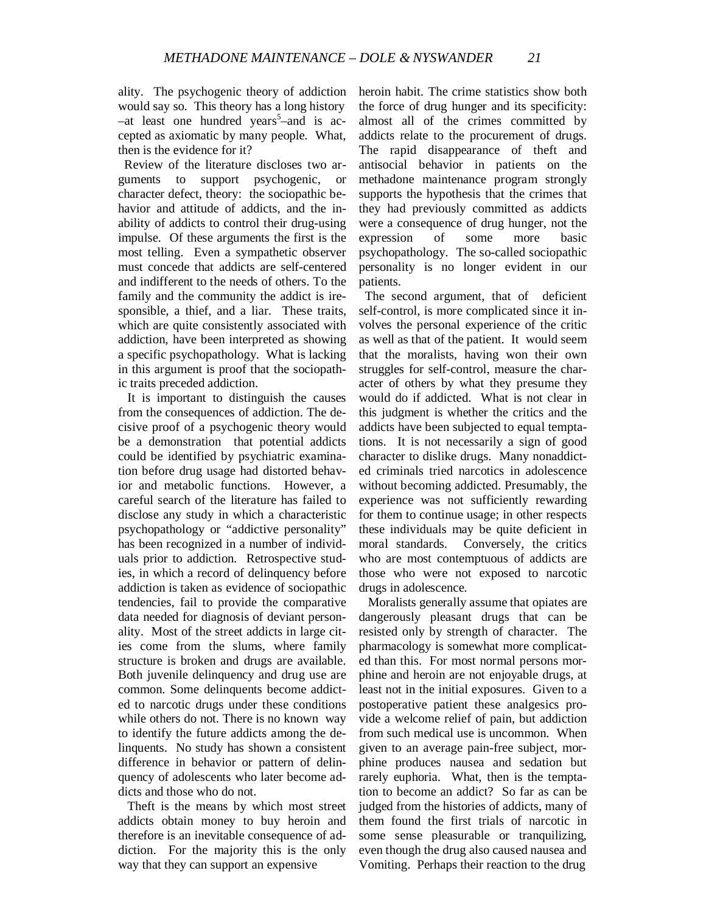ality. The psychogenic theory of addiction would say so. This theory has a long history  $-at$  least one hundred years<sup>5</sup>-and is accepted as axiomatic by many people. What, then is the evidence for it?

 Review of the literature discloses two arguments to support psychogenic, or character defect, theory: the sociopathic behavior and attitude of addicts, and the inability of addicts to control their drug-using impulse. Of these arguments the first is the most telling. Even a sympathetic observer must concede that addicts are self-centered and indifferent to the needs of others. To the family and the community the addict is iresponsible, a thief, and a liar. These traits, which are quite consistently associated with addiction, have been interpreted as showing a specific psychopathology. What is lacking in this argument is proof that the sociopathic traits preceded addiction.

 It is important to distinguish the causes from the consequences of addiction. The decisive proof of a psychogenic theory would be a demonstration that potential addicts could be identified by psychiatric examination before drug usage had distorted behavior and metabolic functions. However, a careful search of the literature has failed to disclose any study in which a characteristic psychopathology or "addictive personality" has been recognized in a number of individuals prior to addiction. Retrospective studies, in which a record of delinquency before addiction is taken as evidence of sociopathic tendencies, fail to provide the comparative data needed for diagnosis of deviant personality. Most of the street addicts in large cities come from the slums, where family structure is broken and drugs are available. Both juvenile delinquency and drug use are common. Some delinquents become addicted to narcotic drugs under these conditions while others do not. There is no known way to identify the future addicts among the delinquents. No study has shown a consistent difference in behavior or pattern of delinquency of adolescents who later become addicts and those who do not.

 Theft is the means by which most street addicts obtain money to buy heroin and therefore is an inevitable consequence of addiction. For the majority this is the only way that they can support an expensive

heroin habit. The crime statistics show both the force of drug hunger and its specificity: almost all of the crimes committed by addicts relate to the procurement of drugs. The rapid disappearance of theft and antisocial behavior in patients on the methadone maintenance program strongly supports the hypothesis that the crimes that they had previously committed as addicts were a consequence of drug hunger, not the expression of some more basic psychopathology. The so-called sociopathic personality is no longer evident in our patients.

 The second argument, that of deficient self-control, is more complicated since it involves the personal experience of the critic as well as that of the patient. It would seem that the moralists, having won their own struggles for self-control, measure the character of others by what they presume they would do if addicted. What is not clear in this judgment is whether the critics and the addicts have been subjected to equal temptations. It is not necessarily a sign of good character to dislike drugs. Many nonaddicted criminals tried narcotics in adolescence without becoming addicted. Presumably, the experience was not sufficiently rewarding for them to continue usage; in other respects these individuals may be quite deficient in moral standards. Conversely, the critics who are most contemptuous of addicts are those who were not exposed to narcotic drugs in adolescence.

 Moralists generally assume that opiates are dangerously pleasant drugs that can be resisted only by strength of character. The pharmacology is somewhat more complicated than this. For most normal persons morphine and heroin are not enjoyable drugs, at least not in the initial exposures. Given to a postoperative patient these analgesics provide a welcome relief of pain, but addiction from such medical use is uncommon. When given to an average pain-free subject, morphine produces nausea and sedation but rarely euphoria. What, then is the temptation to become an addict? So far as can be judged from the histories of addicts, many of them found the first trials of narcotic in some sense pleasurable or tranquilizing, even though the drug also caused nausea and Vomiting. Perhaps their reaction to the drug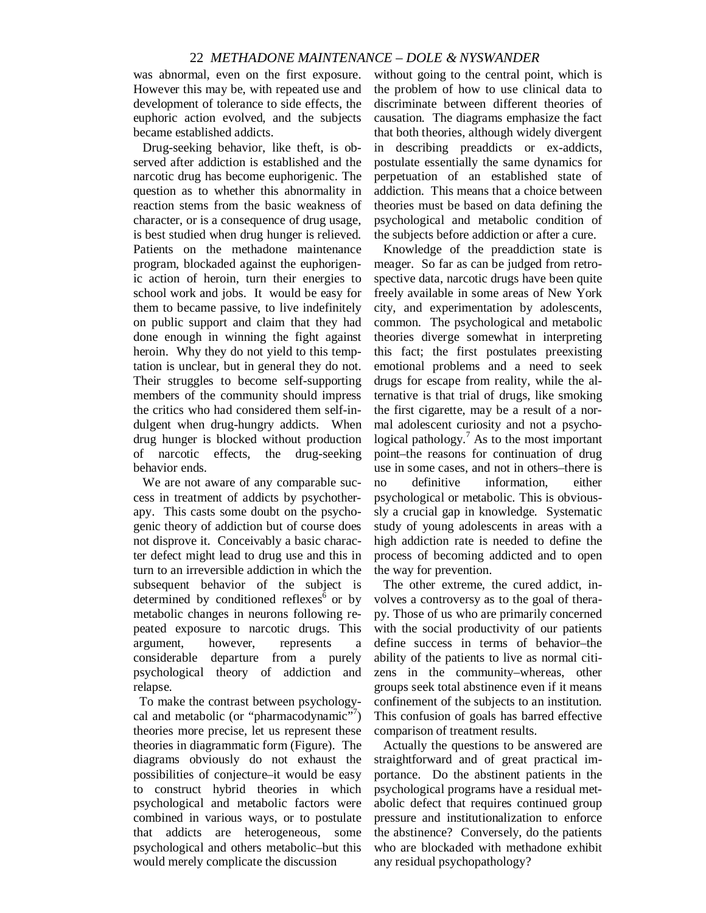### 22 *METHADONE MAINTENANCE – DOLE & NYSWANDER*

was abnormal, even on the first exposure. However this may be, with repeated use and development of tolerance to side effects, the euphoric action evolved, and the subjects became established addicts.

 Drug-seeking behavior, like theft, is observed after addiction is established and the narcotic drug has become euphorigenic. The question as to whether this abnormality in reaction stems from the basic weakness of character, or is a consequence of drug usage, is best studied when drug hunger is relieved. Patients on the methadone maintenance program, blockaded against the euphorigenic action of heroin, turn their energies to school work and jobs. It would be easy for them to became passive, to live indefinitely on public support and claim that they had done enough in winning the fight against heroin. Why they do not yield to this temptation is unclear, but in general they do not. Their struggles to become self-supporting members of the community should impress the critics who had considered them self-indulgent when drug-hungry addicts. When drug hunger is blocked without production of narcotic effects, the drug-seeking behavior ends.

 We are not aware of any comparable success in treatment of addicts by psychotherapy. This casts some doubt on the psychogenic theory of addiction but of course does not disprove it. Conceivably a basic character defect might lead to drug use and this in turn to an irreversible addiction in which the subsequent behavior of the subject is determined by conditioned reflexes $6$  or by metabolic changes in neurons following repeated exposure to narcotic drugs. This argument, however, represents a considerable departure from a purely psychological theory of addiction and relapse.

 To make the contrast between psychologycal and metabolic (or "pharmacodynamic"?) theories more precise, let us represent these theories in diagrammatic form (Figure). The diagrams obviously do not exhaust the possibilities of conjecture–it would be easy to construct hybrid theories in which psychological and metabolic factors were combined in various ways, or to postulate that addicts are heterogeneous, some psychological and others metabolic–but this would merely complicate the discussion

without going to the central point, which is the problem of how to use clinical data to discriminate between different theories of causation. The diagrams emphasize the fact that both theories, although widely divergent in describing preaddicts or ex-addicts, postulate essentially the same dynamics for perpetuation of an established state of addiction. This means that a choice between theories must be based on data defining the psychological and metabolic condition of the subjects before addiction or after a cure.

 Knowledge of the preaddiction state is meager. So far as can be judged from retrospective data, narcotic drugs have been quite freely available in some areas of New York city, and experimentation by adolescents, common. The psychological and metabolic theories diverge somewhat in interpreting this fact; the first postulates preexisting emotional problems and a need to seek drugs for escape from reality, while the alternative is that trial of drugs, like smoking the first cigarette, may be a result of a normal adolescent curiosity and not a psychological pathology.<sup>7</sup> As to the most important point–the reasons for continuation of drug use in some cases, and not in others–there is no definitive information, either psychological or metabolic. This is obvioussly a crucial gap in knowledge. Systematic study of young adolescents in areas with a high addiction rate is needed to define the process of becoming addicted and to open the way for prevention.

 The other extreme, the cured addict, involves a controversy as to the goal of therapy. Those of us who are primarily concerned with the social productivity of our patients define success in terms of behavior–the ability of the patients to live as normal citizens in the community–whereas, other groups seek total abstinence even if it means confinement of the subjects to an institution. This confusion of goals has barred effective comparison of treatment results.

 Actually the questions to be answered are straightforward and of great practical importance. Do the abstinent patients in the psychological programs have a residual metabolic defect that requires continued group pressure and institutionalization to enforce the abstinence? Conversely, do the patients who are blockaded with methadone exhibit any residual psychopathology?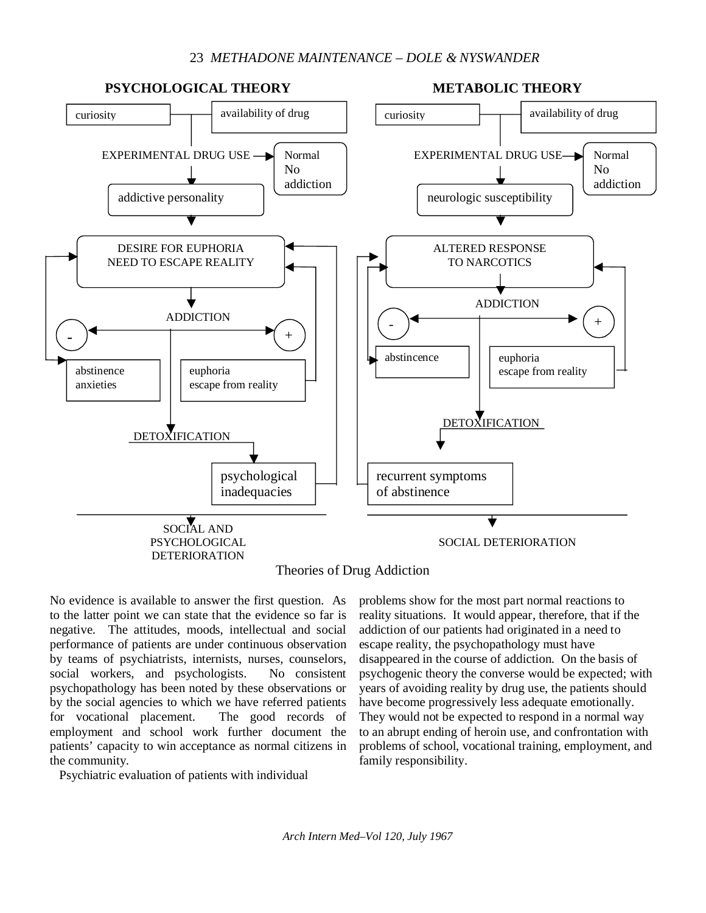## 23 *METHADONE MAINTENANCE – DOLE & NYSWANDER*



No evidence is available to answer the first question. As to the latter point we can state that the evidence so far is negative. The attitudes, moods, intellectual and social performance of patients are under continuous observation by teams of psychiatrists, internists, nurses, counselors, social workers, and psychologists. No consistent psychopathology has been noted by these observations or by the social agencies to which we have referred patients for vocational placement. The good records of employment and school work further document the patients' capacity to win acceptance as normal citizens in the community.

Psychiatric evaluation of patients with individual

problems show for the most part normal reactions to reality situations. It would appear, therefore, that if the addiction of our patients had originated in a need to escape reality, the psychopathology must have disappeared in the course of addiction. On the basis of psychogenic theory the converse would be expected; with years of avoiding reality by drug use, the patients should have become progressively less adequate emotionally. They would not be expected to respond in a normal way to an abrupt ending of heroin use, and confrontation with problems of school, vocational training, employment, and family responsibility.